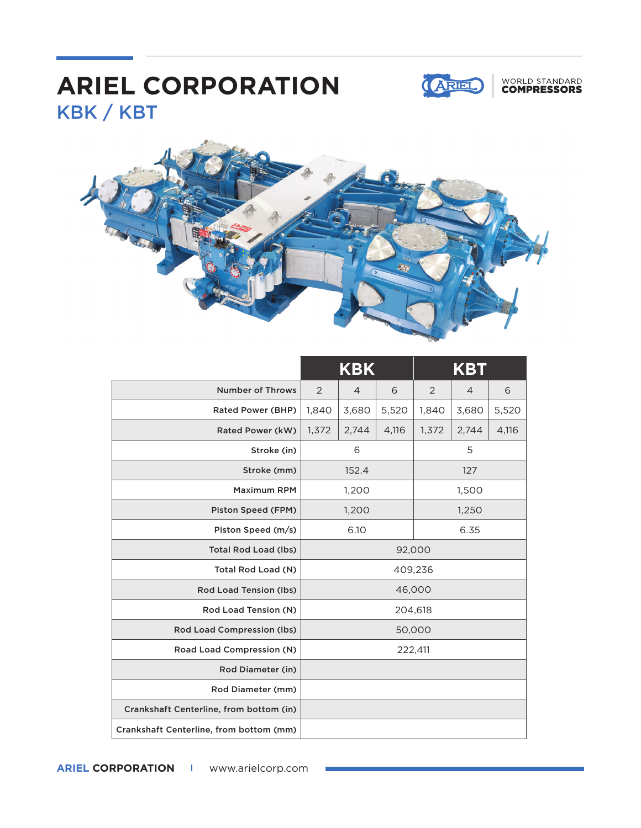## KBK / KBT **ARIEL CORPORATION**



## WORLD STANDARD<br>**COMPRESSORS**



|                                         | <b>KBK</b> |                |       | <b>KBT</b> |                |       |
|-----------------------------------------|------------|----------------|-------|------------|----------------|-------|
| <b>Number of Throws</b>                 | 2          | $\overline{4}$ | 6     | 2          | $\overline{4}$ | 6     |
| Rated Power (BHP)                       | 1,840      | 3,680          | 5,520 | 1,840      | 3,680          | 5,520 |
| Rated Power (kW)                        | 1,372      | 2,744          | 4,116 | 1,372      | 2,744          | 4,116 |
| Stroke (in)                             | 6          |                |       | 5          |                |       |
| Stroke (mm)                             | 152.4      |                |       | 127        |                |       |
| <b>Maximum RPM</b>                      | 1,200      |                |       | 1,500      |                |       |
| Piston Speed (FPM)                      | 1,200      |                |       | 1,250      |                |       |
| Piston Speed (m/s)                      | 6.10       |                |       | 6.35       |                |       |
| <b>Total Rod Load (lbs)</b>             | 92,000     |                |       |            |                |       |
| Total Rod Load (N)                      | 409,236    |                |       |            |                |       |
| Rod Load Tension (lbs)                  | 46,000     |                |       |            |                |       |
| Rod Load Tension (N)                    | 204,618    |                |       |            |                |       |
| <b>Rod Load Compression (lbs)</b>       | 50,000     |                |       |            |                |       |
| Road Load Compression (N)               | 222,411    |                |       |            |                |       |
| Rod Diameter (in)                       |            |                |       |            |                |       |
| Rod Diameter (mm)                       |            |                |       |            |                |       |
| Crankshaft Centerline, from bottom (in) |            |                |       |            |                |       |
| Crankshaft Centerline, from bottom (mm) |            |                |       |            |                |       |